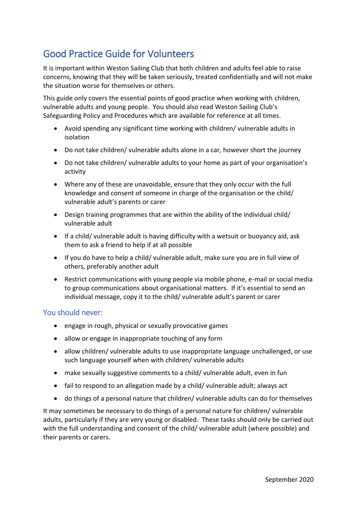# Good Practice Guide for Volunteers

It is important within Weston Sailing Club that both children and adults feel able to raise concerns, knowing that they will be taken seriously, treated confidentially and will not make the situation worse for themselves or others.

This guide only covers the essential points of good practice when working with children, vulnerable adults and young people. You should also read Weston Sailing Club's Safeguarding Policy and Procedures which are available for reference at all times.

- Avoid spending any significant time working with children/ vulnerable adults in isolation
- Do not take children/ vulnerable adults alone in a car, however short the journey
- Do not take children/ vulnerable adults to your home as part of your organisation's activity
- Where any of these are unavoidable, ensure that they only occur with the full knowledge and consent of someone in charge of the organisation or the child/ vulnerable adult's parents or carer
- Design training programmes that are within the ability of the individual child/ vulnerable adult
- If a child/ vulnerable adult is having difficulty with a wetsuit or buoyancy aid, ask them to ask a friend to help if at all possible
- If you do have to help a child/ vulnerable adult, make sure you are in full view of others, preferably another adult
- Restrict communications with young people via mobile phone, e-mail or social media to group communications about organisational matters. If it's essential to send an individual message, copy it to the child/ vulnerable adult's parent or carer

### You should never:

- engage in rough, physical or sexually provocative games
- allow or engage in inappropriate touching of any form
- allow children/ vulnerable adults to use inappropriate language unchallenged, or use such language yourself when with children/ vulnerable adults
- make sexually suggestive comments to a child/ vulnerable adult, even in fun
- fail to respond to an allegation made by a child/ vulnerable adult; always act
- do things of a personal nature that children/ vulnerable adults can do for themselves

It may sometimes be necessary to do things of a personal nature for children/ vulnerable adults, particularly if they are very young or disabled. These tasks should only be carried out with the full understanding and consent of the child/ vulnerable adult (where possible) and their parents or carers.